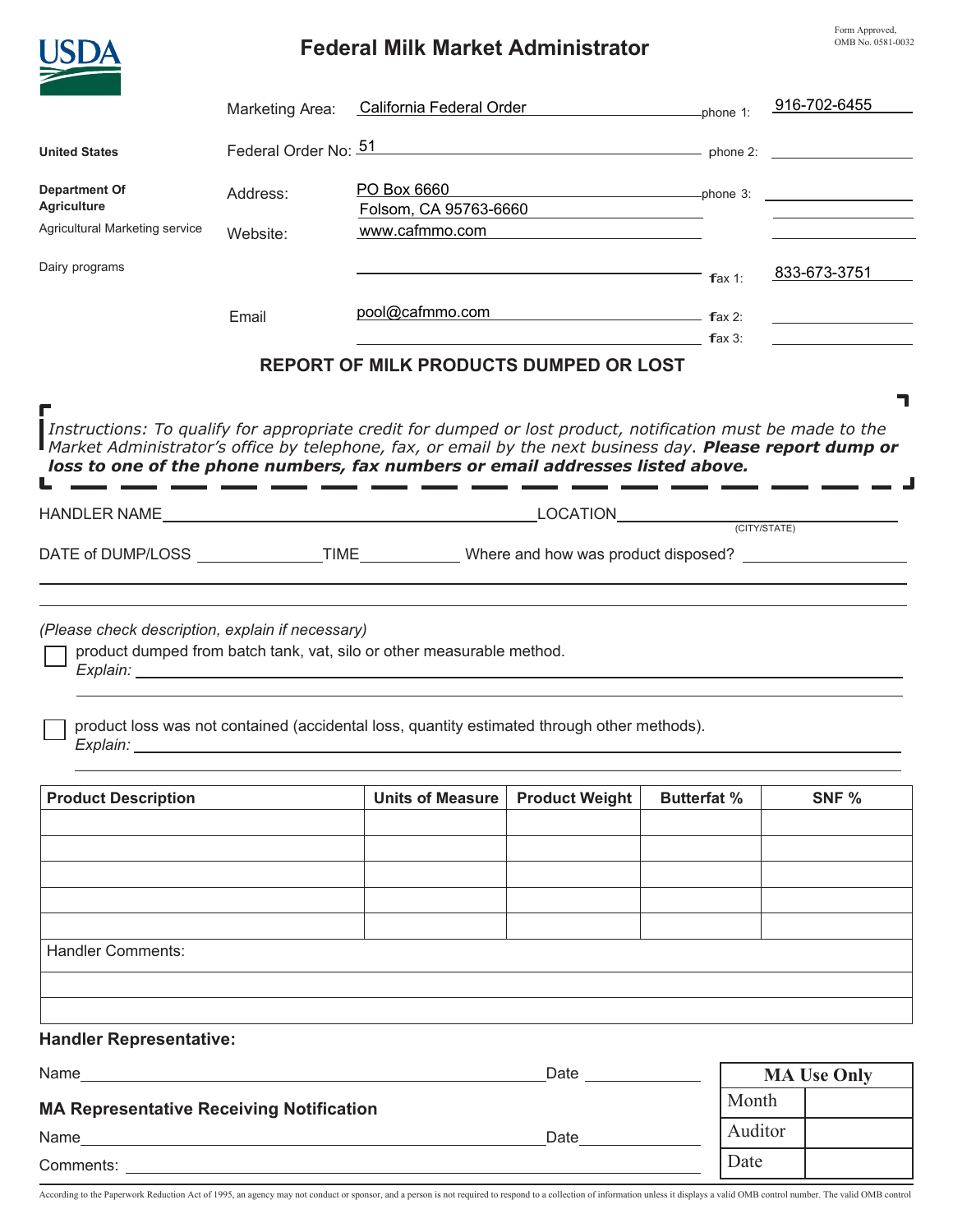## **Federal Milk Market Administrator**

Form Approved, OMB No. 0581-0032

|                                                                                                                                                                                                                                                                                   | <b>Federal Milk Market Administrator</b> |                                                                                                                                                                      |                                                                                                                  |                    |         | OMB No. 0581-0032                                                                                                    |  |
|-----------------------------------------------------------------------------------------------------------------------------------------------------------------------------------------------------------------------------------------------------------------------------------|------------------------------------------|----------------------------------------------------------------------------------------------------------------------------------------------------------------------|------------------------------------------------------------------------------------------------------------------|--------------------|---------|----------------------------------------------------------------------------------------------------------------------|--|
|                                                                                                                                                                                                                                                                                   | Marketing Area:                          | California Federal Order enteries the phone 1:                                                                                                                       |                                                                                                                  |                    |         | 916-702-6455                                                                                                         |  |
| <b>United States</b>                                                                                                                                                                                                                                                              |                                          | Federal Order No: $\frac{51}{2}$                                                                                                                                     |                                                                                                                  |                    |         |                                                                                                                      |  |
| <b>Department Of</b><br><b>Agriculture</b>                                                                                                                                                                                                                                        | Address:                                 | PO Box 6660<br>Folsom, CA 95763-6660<br><u> 1980 - Johann Barbara, martin amerikan ba</u>                                                                            |                                                                                                                  |                    |         |                                                                                                                      |  |
| Agricultural Marketing service                                                                                                                                                                                                                                                    | Website:                                 | www.cafmmo.com                                                                                                                                                       |                                                                                                                  |                    |         |                                                                                                                      |  |
| Dairy programs                                                                                                                                                                                                                                                                    |                                          |                                                                                                                                                                      |                                                                                                                  | $\mathsf{f}$ ax 1: |         | 833-673-3751                                                                                                         |  |
|                                                                                                                                                                                                                                                                                   | Email                                    | pool@cafmmo.com fax 2:                                                                                                                                               | $\mathsf{f}$ ax 3:                                                                                               |                    |         | <u> 1989 - John Stein, mars and de la partie de la partie de la partie de la partie de la partie de la partie de</u> |  |
|                                                                                                                                                                                                                                                                                   |                                          | REPORT OF MILK PRODUCTS DUMPED OR LOST                                                                                                                               |                                                                                                                  |                    |         |                                                                                                                      |  |
| loss to one of the phone numbers, fax numbers or email addresses listed above.                                                                                                                                                                                                    |                                          | ____________                                                                                                                                                         |                                                                                                                  |                    |         |                                                                                                                      |  |
|                                                                                                                                                                                                                                                                                   |                                          |                                                                                                                                                                      | and the control of the control of the control of the control of the control of the control of the control of the |                    |         |                                                                                                                      |  |
| (Please check description, explain if necessary)<br>Explain: North Contract Contract Contract Contract Contract Contract Contract Contract Contract Contract Contract Contract Contract Contract Contract Contract Contract Contract Contract Contract Contract Contract Contract |                                          | product dumped from batch tank, vat, silo or other measurable method.<br>product loss was not contained (accidental loss, quantity estimated through other methods). |                                                                                                                  |                    |         |                                                                                                                      |  |
| <b>Product Description</b>                                                                                                                                                                                                                                                        |                                          | <b>Product Weight</b><br><b>Units of Measure</b>                                                                                                                     |                                                                                                                  | <b>Butterfat %</b> |         | SNF %                                                                                                                |  |
|                                                                                                                                                                                                                                                                                   |                                          |                                                                                                                                                                      |                                                                                                                  |                    |         |                                                                                                                      |  |
|                                                                                                                                                                                                                                                                                   |                                          |                                                                                                                                                                      |                                                                                                                  |                    |         |                                                                                                                      |  |
|                                                                                                                                                                                                                                                                                   |                                          |                                                                                                                                                                      |                                                                                                                  |                    |         |                                                                                                                      |  |
| <b>Handler Comments:</b>                                                                                                                                                                                                                                                          |                                          |                                                                                                                                                                      |                                                                                                                  |                    |         |                                                                                                                      |  |
|                                                                                                                                                                                                                                                                                   |                                          |                                                                                                                                                                      |                                                                                                                  |                    |         |                                                                                                                      |  |
| <b>Handler Representative:</b>                                                                                                                                                                                                                                                    |                                          |                                                                                                                                                                      |                                                                                                                  |                    |         |                                                                                                                      |  |
| Name and the state of the state of the state of the state of the state of the state of the state of the state of the state of the state of the state of the state of the state of the state of the state of the state of the s<br>Date <u>superiors</u>                           |                                          |                                                                                                                                                                      |                                                                                                                  | <b>MA Use Only</b> |         |                                                                                                                      |  |
| <b>MA Representative Receiving Notification</b>                                                                                                                                                                                                                                   |                                          |                                                                                                                                                                      |                                                                                                                  |                    | Month   |                                                                                                                      |  |
| Date and the set of the set of the set of the set of the set of the set of the set of the set of the set of the set of the set of the set of the set of the set of the set of the set of the set of the set of the set of the                                                     |                                          |                                                                                                                                                                      |                                                                                                                  |                    | Auditor |                                                                                                                      |  |
| Comments: the comments of the comments of the comments of the comments of the comments of the comments of the comments of the comments of the comments of the comments of the comments of the comments of the comments of the                                                     |                                          |                                                                                                                                                                      |                                                                                                                  |                    | Date    |                                                                                                                      |  |

According to the Paperwork Reduction Act of 1995, an agency may not conduct or sponsor, and a person is not required to respond to a collection of information unless it displays a valid OMB control number. The valid OMB co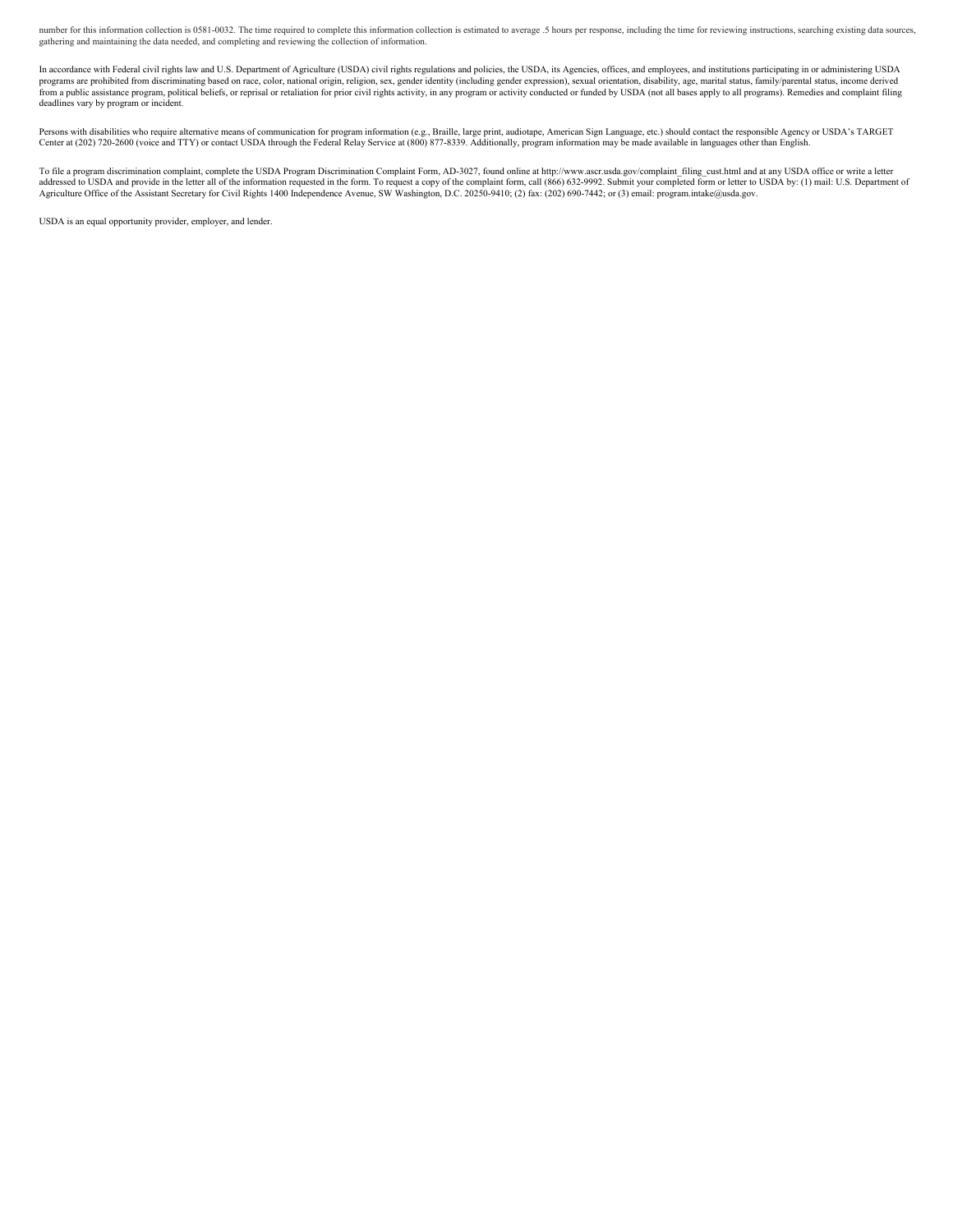number for this information collection is 0581-0032. The time required to complete this information collection is estimated to average .5 hours per response, including the time for reviewing instructions, searching existin

In accordance with Federal civil rights law and U.S. Department of Agriculture (USDA) civil rights regulations and policies, the USDA, its Agencies, offices, and employees, and institutions participating in or administerin programs are prohibited from discriminating based on race, color, national origin, religion, sex, gender identity (including gender expression), sexual orientation, disability, age, marital status, family/parental status,

Persons with disabilities who require alternative means of communication for program information (e.g., Braille, large print, audiotape, American Sign Language, etc.) should contact the responsible Agency or USDA's TARGET<br>

To file a program discrimination complaint, complete the USDA Program Discrimination Complaint Form, AD-3027, found online at http://www.ascr.usda.gov/complaint\_filing\_cust.html and at any USDA office or write a letter<br>add

USDA is an equal opportunity provider, employer, and lender.